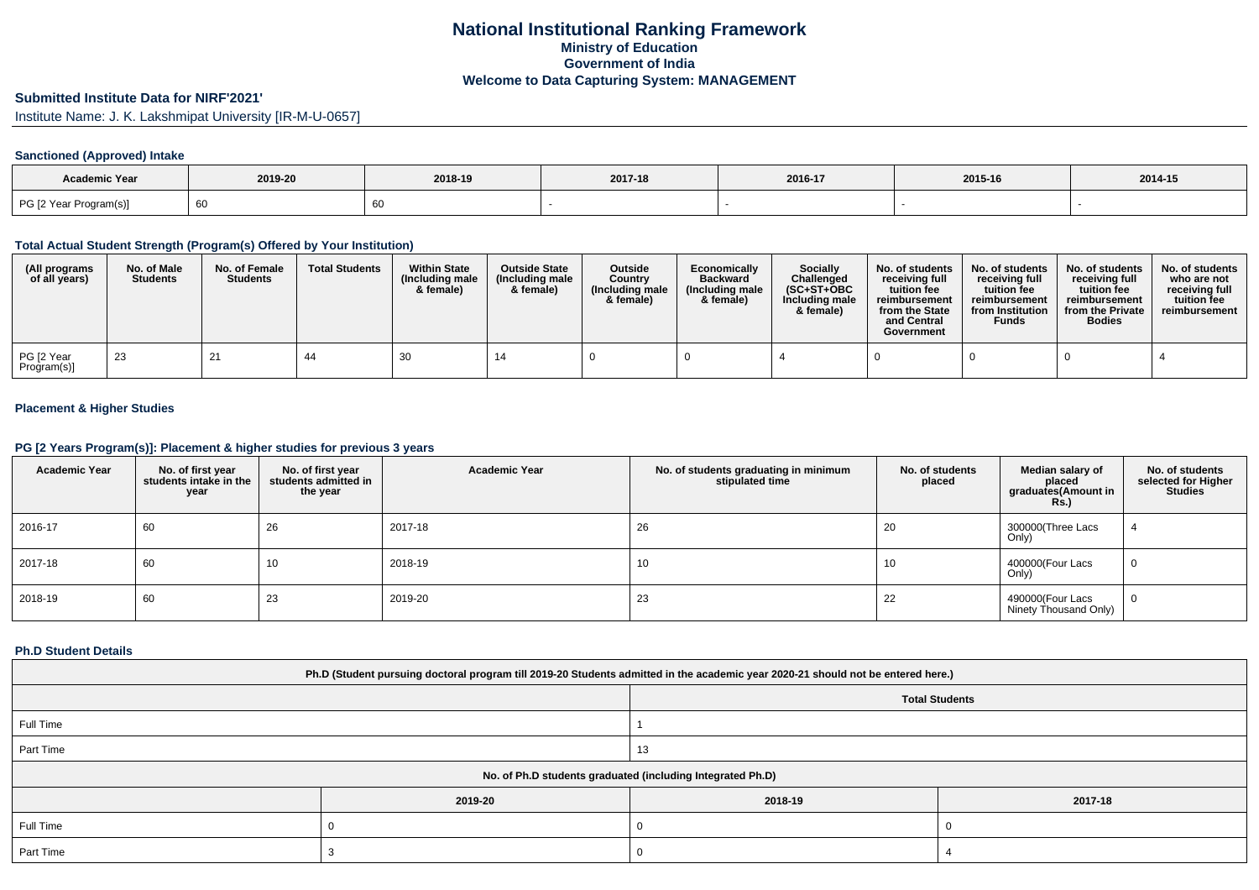# **Submitted Institute Data for NIRF'2021'**

Institute Name: J. K. Lakshmipat University [IR-M-U-0657]

## **Sanctioned (Approved) Intake**

| <b>Academic Year</b>   |         |         |         |         |         |         |
|------------------------|---------|---------|---------|---------|---------|---------|
|                        | 2019-20 | 2018-19 | 2017-18 | 2016-17 | 2015-16 | 2014-15 |
| PG [2 Year Program(s)] | 60      |         |         |         |         |         |

### **Total Actual Student Strength (Program(s) Offered by Your Institution)**

| (All programs<br>of all years) | No. of Male<br><b>Students</b> | No. of Female<br><b>Students</b> | <b>Total Students</b> | <b>Within State</b><br>(Including male<br>& female) | <b>Outside State</b><br>(Including male<br>& female) | <b>Outside</b><br>Country<br>(Including male)<br>& female) | Economically<br><b>Backward</b><br>(Including male<br>& female) | Socially<br>Challenged<br>$(SC+ST+OBC)$<br>Including male<br>& female) | No. of students<br>receiving full<br>tuition fee<br>reimbursement<br>from the State<br>and Central<br>Government | No. of students<br>receiving full<br>tuition fee<br>reimbursement<br>from Institution<br><b>Funds</b> | No. of students<br>receiving full<br>tuition fee<br>reimbursement<br>from the Private<br><b>Bodies</b> | No. of students<br>who are not<br>receiving full<br>tuition fee<br>reimbursement |
|--------------------------------|--------------------------------|----------------------------------|-----------------------|-----------------------------------------------------|------------------------------------------------------|------------------------------------------------------------|-----------------------------------------------------------------|------------------------------------------------------------------------|------------------------------------------------------------------------------------------------------------------|-------------------------------------------------------------------------------------------------------|--------------------------------------------------------------------------------------------------------|----------------------------------------------------------------------------------|
| PG [2 Year<br>Program(s)]      | 23                             | 21                               | 44                    | 30                                                  |                                                      |                                                            |                                                                 |                                                                        |                                                                                                                  |                                                                                                       |                                                                                                        |                                                                                  |

## **Placement & Higher Studies**

### **PG [2 Years Program(s)]: Placement & higher studies for previous 3 years**

| <b>Academic Year</b> | No. of first year<br>students intake in the<br>year | No. of first year<br>students admitted in<br>the year | <b>Academic Year</b> | No. of students graduating in minimum<br>stipulated time | No. of students<br>placed | Median salary of<br>placed<br>graduates(Amount in<br><b>Rs.</b> ) | No. of students<br>selected for Higher<br><b>Studies</b> |
|----------------------|-----------------------------------------------------|-------------------------------------------------------|----------------------|----------------------------------------------------------|---------------------------|-------------------------------------------------------------------|----------------------------------------------------------|
| 2016-17              | 60                                                  | 26                                                    | 2017-18              | 26                                                       | 20                        | 300000(Three Lacs<br>Only)                                        |                                                          |
| 2017-18              | 60                                                  | 10                                                    | 2018-19              | 10                                                       | 10                        | 400000(Four Lacs<br>Only)                                         | 0                                                        |
| 2018-19              | 60                                                  | 23                                                    | 2019-20              | 23                                                       | 22                        | 490000(Four Lacs<br>Ninety Thousand Only)                         | $\mathbf{0}$                                             |

### **Ph.D Student Details**

| Ph.D (Student pursuing doctoral program till 2019-20 Students admitted in the academic year 2020-21 should not be entered here.) |                       |         |         |  |  |  |  |
|----------------------------------------------------------------------------------------------------------------------------------|-----------------------|---------|---------|--|--|--|--|
|                                                                                                                                  | <b>Total Students</b> |         |         |  |  |  |  |
| Full Time                                                                                                                        |                       |         |         |  |  |  |  |
| Part Time                                                                                                                        |                       | 13      |         |  |  |  |  |
| No. of Ph.D students graduated (including Integrated Ph.D)                                                                       |                       |         |         |  |  |  |  |
|                                                                                                                                  | 2019-20               | 2018-19 | 2017-18 |  |  |  |  |
| Full Time                                                                                                                        |                       |         |         |  |  |  |  |
| Part Time                                                                                                                        |                       |         |         |  |  |  |  |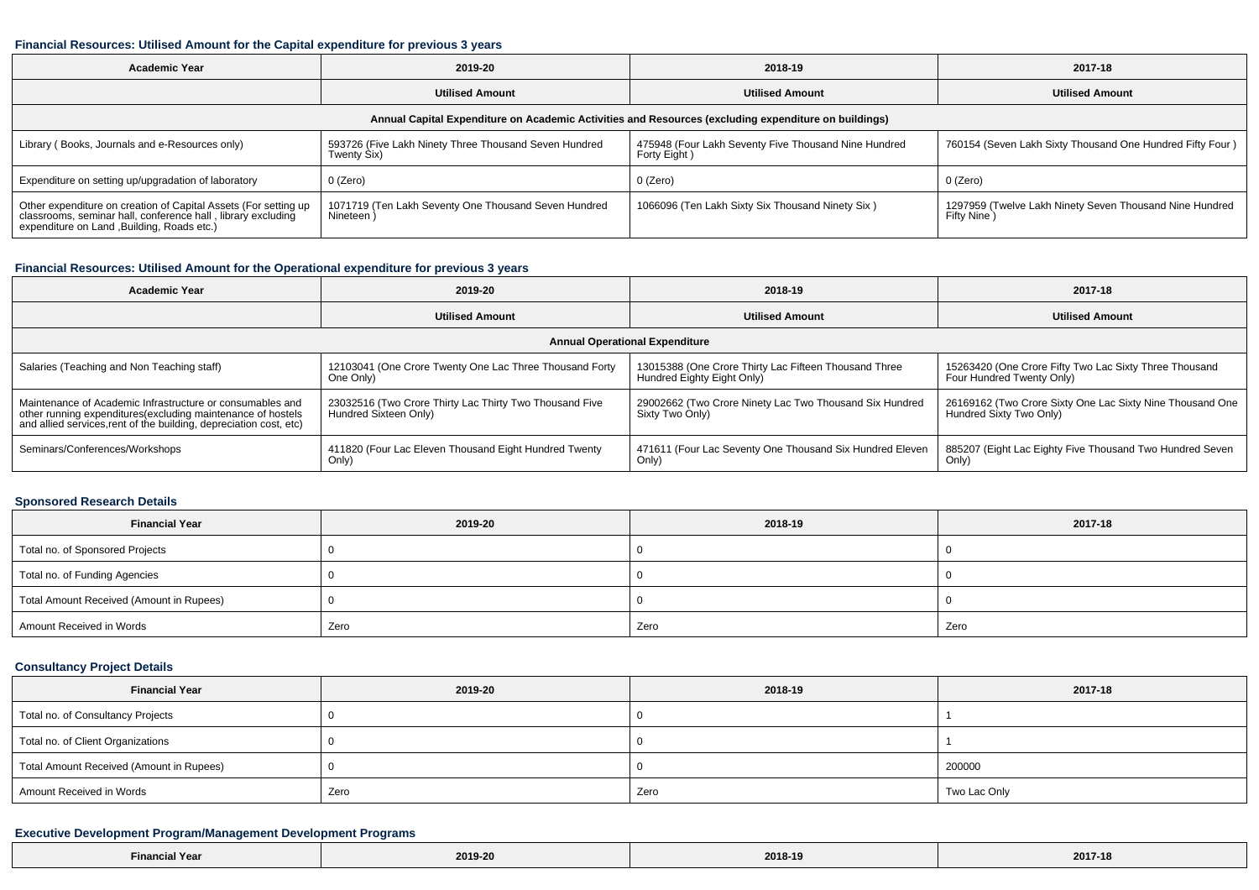#### **Financial Resources: Utilised Amount for the Capital expenditure for previous 3 years**

| <b>Academic Year</b>                                                                                                                                                           | 2019-20                                                              | 2018-19                                                              | 2017-18                                                                |  |  |  |  |  |
|--------------------------------------------------------------------------------------------------------------------------------------------------------------------------------|----------------------------------------------------------------------|----------------------------------------------------------------------|------------------------------------------------------------------------|--|--|--|--|--|
|                                                                                                                                                                                | <b>Utilised Amount</b>                                               | <b>Utilised Amount</b>                                               | <b>Utilised Amount</b>                                                 |  |  |  |  |  |
| Annual Capital Expenditure on Academic Activities and Resources (excluding expenditure on buildings)                                                                           |                                                                      |                                                                      |                                                                        |  |  |  |  |  |
| Library (Books, Journals and e-Resources only)                                                                                                                                 | 593726 (Five Lakh Ninety Three Thousand Seven Hundred<br>Twenty Six) | 475948 (Four Lakh Seventy Five Thousand Nine Hundred<br>Forty Eight) | 760154 (Seven Lakh Sixty Thousand One Hundred Fifty Four)              |  |  |  |  |  |
| Expenditure on setting up/upgradation of laboratory                                                                                                                            | 0 (Zero)                                                             | 0 (Zero)                                                             | 0 (Zero)                                                               |  |  |  |  |  |
| Other expenditure on creation of Capital Assets (For setting up<br>classrooms, seminar hall, conference hall, library excluding<br>expenditure on Land , Building, Roads etc.) | 1071719 (Ten Lakh Seventy One Thousand Seven Hundred<br>Nineteen)    | 1066096 (Ten Lakh Sixty Six Thousand Ninety Six)                     | 1297959 (Twelve Lakh Ninety Seven Thousand Nine Hundred<br>Fifty Nine) |  |  |  |  |  |

## **Financial Resources: Utilised Amount for the Operational expenditure for previous 3 years**

| Academic Year                                                                                                                                                                                   | 2019-20                                                                          | 2018-19                                                                             | 2017-18                                                                              |  |  |  |  |  |
|-------------------------------------------------------------------------------------------------------------------------------------------------------------------------------------------------|----------------------------------------------------------------------------------|-------------------------------------------------------------------------------------|--------------------------------------------------------------------------------------|--|--|--|--|--|
|                                                                                                                                                                                                 | <b>Utilised Amount</b>                                                           | <b>Utilised Amount</b>                                                              | <b>Utilised Amount</b>                                                               |  |  |  |  |  |
| <b>Annual Operational Expenditure</b>                                                                                                                                                           |                                                                                  |                                                                                     |                                                                                      |  |  |  |  |  |
| Salaries (Teaching and Non Teaching staff)                                                                                                                                                      | 12103041 (One Crore Twenty One Lac Three Thousand Forty<br>One Only)             | 13015388 (One Crore Thirty Lac Fifteen Thousand Three<br>Hundred Eighty Eight Only) | 15263420 (One Crore Fifty Two Lac Sixty Three Thousand<br>Four Hundred Twenty Only)  |  |  |  |  |  |
| Maintenance of Academic Infrastructure or consumables and<br>other running expenditures (excluding maintenance of hostels<br>and allied services, rent of the building, depreciation cost, etc) | 23032516 (Two Crore Thirty Lac Thirty Two Thousand Five<br>Hundred Sixteen Only) | 29002662 (Two Crore Ninety Lac Two Thousand Six Hundred<br>Sixty Two Only)          | 26169162 (Two Crore Sixty One Lac Sixty Nine Thousand One<br>Hundred Sixty Two Only) |  |  |  |  |  |
| Seminars/Conferences/Workshops                                                                                                                                                                  | 411820 (Four Lac Eleven Thousand Eight Hundred Twenty<br>Only)                   | 471611 (Four Lac Seventy One Thousand Six Hundred Eleven<br>Only)                   | 885207 (Eight Lac Eighty Five Thousand Two Hundred Seven<br>Only)                    |  |  |  |  |  |

#### **Sponsored Research Details**

| <b>Financial Year</b>                    | 2019-20 | 2018-19 | 2017-18 |  |
|------------------------------------------|---------|---------|---------|--|
| Total no. of Sponsored Projects          |         |         |         |  |
| Total no. of Funding Agencies            |         |         |         |  |
| Total Amount Received (Amount in Rupees) |         |         |         |  |
| Amount Received in Words                 | Zero    | Zero    | Zero    |  |

## **Consultancy Project Details**

| <b>Financial Year</b>                    | 2019-20 | 2018-19 | 2017-18      |  |
|------------------------------------------|---------|---------|--------------|--|
| Total no. of Consultancy Projects        |         |         |              |  |
| Total no. of Client Organizations        |         |         |              |  |
| Total Amount Received (Amount in Rupees) |         |         | 200000       |  |
| Amount Received in Words                 | Zero    | Zero    | Two Lac Only |  |

### **Executive Development Program/Management Development Programs**

| Year<br>-inanci | 2019-20 | 2018-19 | 2017-18 |
|-----------------|---------|---------|---------|
|-----------------|---------|---------|---------|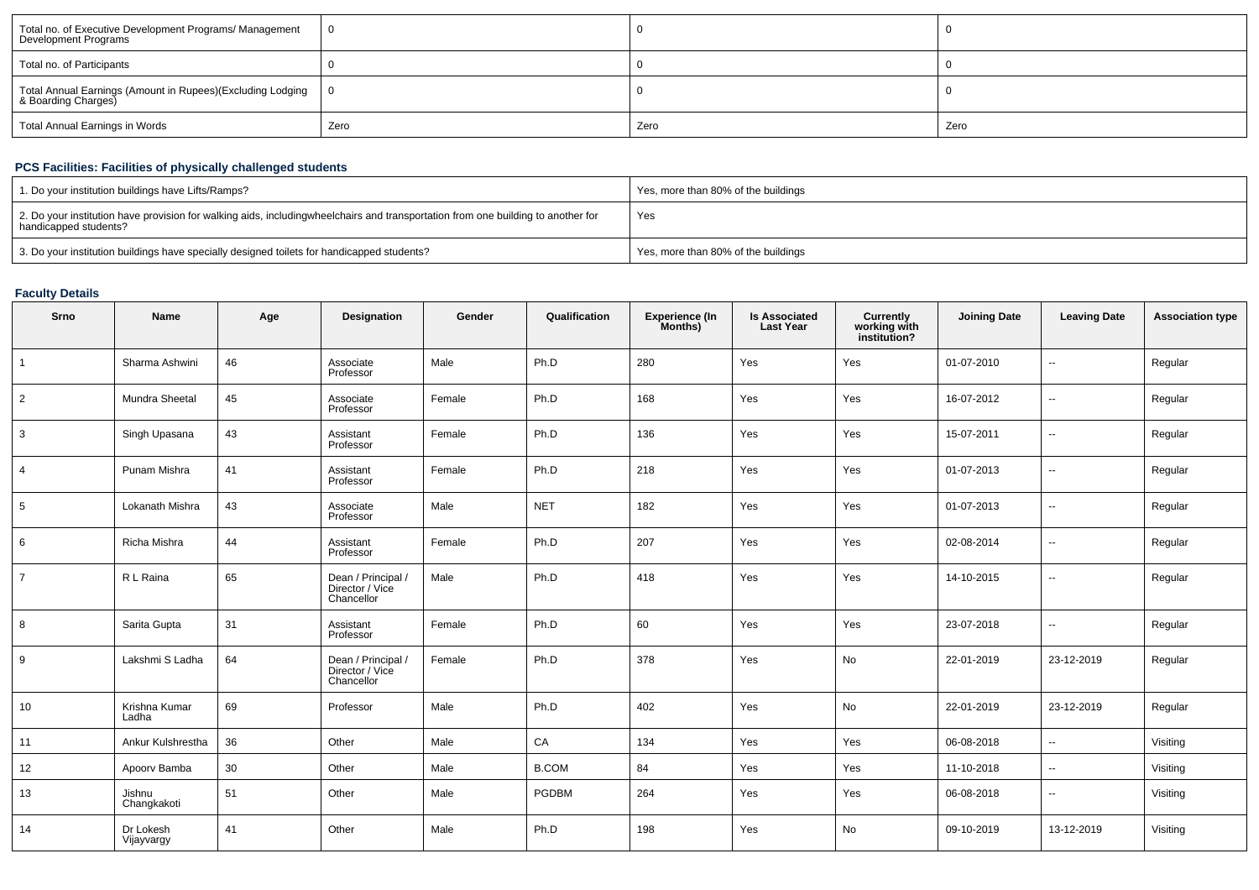| Total no. of Executive Development Programs/ Management<br>Development Programs       | 0    |      |      |
|---------------------------------------------------------------------------------------|------|------|------|
| Total no. of Participants                                                             |      |      |      |
| Total Annual Earnings (Amount in Rupees)(Excluding Lodging   0<br>& Boarding Charges) |      |      |      |
| Total Annual Earnings in Words                                                        | Zero | Zero | Zero |

## **PCS Facilities: Facilities of physically challenged students**

| 1. Do your institution buildings have Lifts/Ramps?                                                                                                        | Yes, more than 80% of the buildings |
|-----------------------------------------------------------------------------------------------------------------------------------------------------------|-------------------------------------|
| 2. Do your institution have provision for walking aids, includingwheelchairs and transportation from one building to another for<br>handicapped students? | Yes                                 |
| 3. Do your institution buildings have specially designed toilets for handicapped students?                                                                | Yes, more than 80% of the buildings |

## **Faculty Details**

| Srno           | Name                    | Age | Designation                                         | Gender | Qualification | Experience (In<br>Months) | <b>Is Associated</b><br><b>Last Year</b> | <b>Currently</b><br>working with<br>institution? | <b>Joining Date</b> | <b>Leaving Date</b>      | <b>Association type</b> |
|----------------|-------------------------|-----|-----------------------------------------------------|--------|---------------|---------------------------|------------------------------------------|--------------------------------------------------|---------------------|--------------------------|-------------------------|
|                | Sharma Ashwini          | 46  | Associate<br>Professor                              | Male   | Ph.D          | 280                       | Yes                                      | Yes                                              | 01-07-2010          | $\sim$                   | Regular                 |
| $\overline{2}$ | Mundra Sheetal          | 45  | Associate<br>Professor                              | Female | Ph.D          | 168                       | Yes                                      | Yes                                              | 16-07-2012          | $\sim$                   | Regular                 |
| 3              | Singh Upasana           | 43  | Assistant<br>Professor                              | Female | Ph.D          | 136                       | Yes                                      | Yes                                              | 15-07-2011          | $\overline{\phantom{a}}$ | Regular                 |
| $\overline{4}$ | Punam Mishra            | 41  | Assistant<br>Professor                              | Female | Ph.D          | 218                       | Yes                                      | Yes                                              | 01-07-2013          | $\overline{\phantom{a}}$ | Regular                 |
| 5              | Lokanath Mishra         | 43  | Associate<br>Professor                              | Male   | <b>NET</b>    | 182                       | Yes                                      | Yes                                              | 01-07-2013          | $\sim$                   | Regular                 |
| 6              | Richa Mishra            | 44  | Assistant<br>Professor                              | Female | Ph.D          | 207                       | Yes                                      | Yes                                              | 02-08-2014          | $\sim$                   | Regular                 |
| $\overline{7}$ | R L Raina               | 65  | Dean / Principal /<br>Director / Vice<br>Chancellor | Male   | Ph.D          | 418                       | Yes                                      | Yes                                              | 14-10-2015          | $\sim$                   | Regular                 |
| 8              | Sarita Gupta            | 31  | Assistant<br>Professor                              | Female | Ph.D          | 60                        | Yes                                      | Yes                                              | 23-07-2018          | $\overline{\phantom{a}}$ | Regular                 |
| 9              | Lakshmi S Ladha         | 64  | Dean / Principal /<br>Director / Vice<br>Chancellor | Female | Ph.D          | 378                       | Yes                                      | <b>No</b>                                        | 22-01-2019          | 23-12-2019               | Regular                 |
| 10             | Krishna Kumar<br>Ladha  | 69  | Professor                                           | Male   | Ph.D          | 402                       | Yes                                      | No                                               | 22-01-2019          | 23-12-2019               | Regular                 |
| 11             | Ankur Kulshrestha       | 36  | Other                                               | Male   | CA            | 134                       | Yes                                      | Yes                                              | 06-08-2018          | $\overline{\phantom{a}}$ | Visiting                |
| 12             | Apoorv Bamba            | 30  | Other                                               | Male   | <b>B.COM</b>  | 84                        | Yes                                      | Yes                                              | 11-10-2018          | $\sim$                   | Visiting                |
| 13             | Jishnu<br>Changkakoti   | 51  | Other                                               | Male   | <b>PGDBM</b>  | 264                       | Yes                                      | Yes                                              | 06-08-2018          | $\sim$                   | Visiting                |
| 14             | Dr Lokesh<br>Vijayvargy | 41  | Other                                               | Male   | Ph.D          | 198                       | Yes                                      | No                                               | 09-10-2019          | 13-12-2019               | Visiting                |